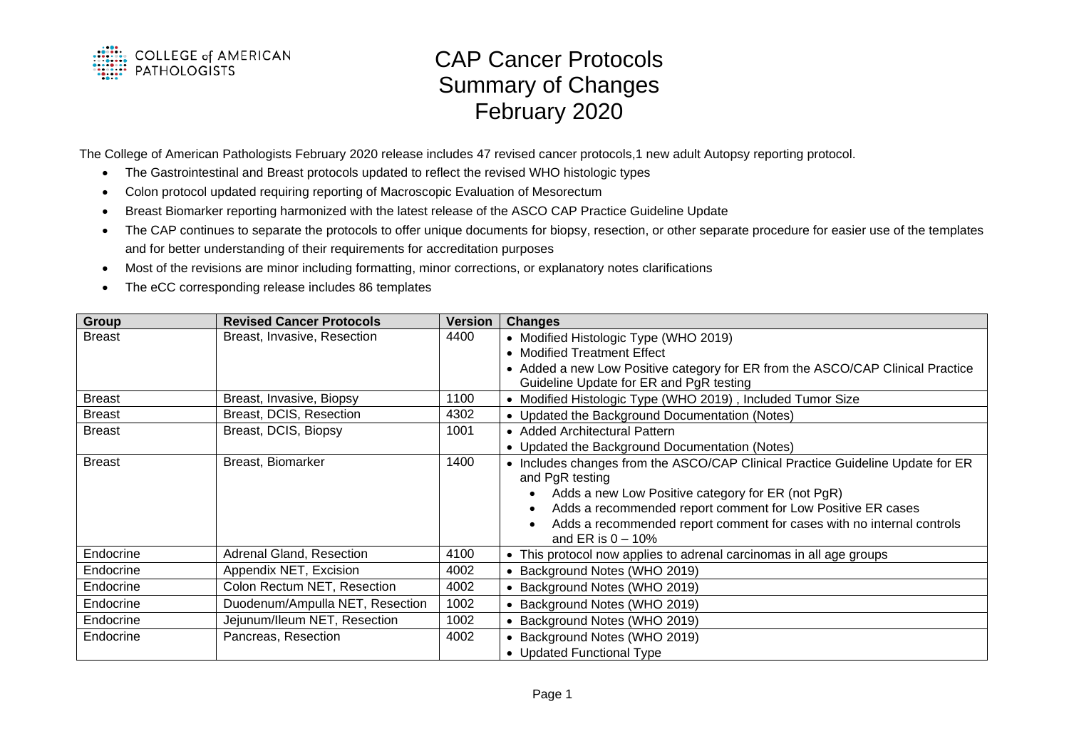

## CAP Cancer Protocols Summary of Changes February 2020

The College of American Pathologists February 2020 release includes 47 revised cancer protocols,1 new adult Autopsy reporting protocol.

- The Gastrointestinal and Breast protocols updated to reflect the revised WHO histologic types
- Colon protocol updated requiring reporting of Macroscopic Evaluation of Mesorectum
- Breast Biomarker reporting harmonized with the latest release of the ASCO CAP Practice Guideline Update
- The CAP continues to separate the protocols to offer unique documents for biopsy, resection, or other separate procedure for easier use of the templates and for better understanding of their requirements for accreditation purposes
- Most of the revisions are minor including formatting, minor corrections, or explanatory notes clarifications
- The eCC corresponding release includes 86 templates

| <b>Group</b>  | <b>Revised Cancer Protocols</b> | Version | <b>Changes</b>                                                                                                            |
|---------------|---------------------------------|---------|---------------------------------------------------------------------------------------------------------------------------|
| <b>Breast</b> | Breast, Invasive, Resection     | 4400    | • Modified Histologic Type (WHO 2019)                                                                                     |
|               |                                 |         | • Modified Treatment Effect                                                                                               |
|               |                                 |         | • Added a new Low Positive category for ER from the ASCO/CAP Clinical Practice<br>Guideline Update for ER and PgR testing |
| <b>Breast</b> | Breast, Invasive, Biopsy        | 1100    | • Modified Histologic Type (WHO 2019), Included Tumor Size                                                                |
| <b>Breast</b> | Breast, DCIS, Resection         | 4302    | • Updated the Background Documentation (Notes)                                                                            |
| <b>Breast</b> | Breast, DCIS, Biopsy            | 1001    | • Added Architectural Pattern                                                                                             |
|               |                                 |         | • Updated the Background Documentation (Notes)                                                                            |
| <b>Breast</b> | Breast, Biomarker               | 1400    | • Includes changes from the ASCO/CAP Clinical Practice Guideline Update for ER<br>and PgR testing                         |
|               |                                 |         | Adds a new Low Positive category for ER (not PgR)<br>$\bullet$                                                            |
|               |                                 |         | Adds a recommended report comment for Low Positive ER cases<br>$\bullet$                                                  |
|               |                                 |         | Adds a recommended report comment for cases with no internal controls<br>$\bullet$                                        |
|               |                                 |         | and ER is $0 - 10\%$                                                                                                      |
| Endocrine     | Adrenal Gland, Resection        | 4100    | • This protocol now applies to adrenal carcinomas in all age groups                                                       |
| Endocrine     | Appendix NET, Excision          | 4002    | • Background Notes (WHO 2019)                                                                                             |
| Endocrine     | Colon Rectum NET, Resection     | 4002    | • Background Notes (WHO 2019)                                                                                             |
| Endocrine     | Duodenum/Ampulla NET, Resection | 1002    | • Background Notes (WHO 2019)                                                                                             |
| Endocrine     | Jejunum/Ileum NET, Resection    | 1002    | Background Notes (WHO 2019)                                                                                               |
| Endocrine     | Pancreas, Resection             | 4002    | Background Notes (WHO 2019)                                                                                               |
|               |                                 |         | • Updated Functional Type                                                                                                 |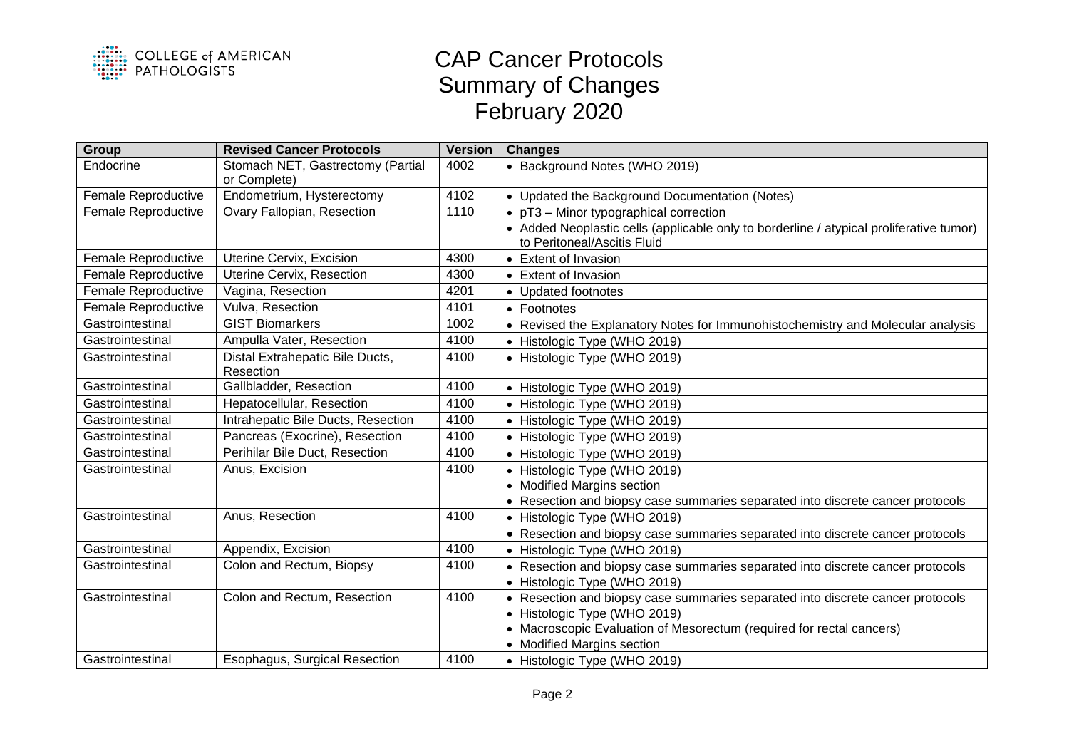

## CAP Cancer Protocols Summary of Changes February 2020

| Group                      | <b>Revised Cancer Protocols</b>                   | <b>Version</b> | <b>Changes</b>                                                                          |
|----------------------------|---------------------------------------------------|----------------|-----------------------------------------------------------------------------------------|
| Endocrine                  | Stomach NET, Gastrectomy (Partial<br>or Complete) | 4002           | • Background Notes (WHO 2019)                                                           |
| Female Reproductive        | Endometrium, Hysterectomy                         | 4102           | • Updated the Background Documentation (Notes)                                          |
| Female Reproductive        | Ovary Fallopian, Resection                        | 1110           | • pT3 - Minor typographical correction                                                  |
|                            |                                                   |                | • Added Neoplastic cells (applicable only to borderline / atypical proliferative tumor) |
|                            |                                                   |                | to Peritoneal/Ascitis Fluid                                                             |
| Female Reproductive        | Uterine Cervix, Excision                          | 4300           | • Extent of Invasion                                                                    |
| <b>Female Reproductive</b> | Uterine Cervix, Resection                         | 4300           | • Extent of Invasion                                                                    |
| Female Reproductive        | Vagina, Resection                                 | 4201           | • Updated footnotes                                                                     |
| Female Reproductive        | Vulva, Resection                                  | 4101           | • Footnotes                                                                             |
| Gastrointestinal           | <b>GIST Biomarkers</b>                            | 1002           | • Revised the Explanatory Notes for Immunohistochemistry and Molecular analysis         |
| Gastrointestinal           | Ampulla Vater, Resection                          | 4100           | • Histologic Type (WHO 2019)                                                            |
| Gastrointestinal           | Distal Extrahepatic Bile Ducts,                   | 4100           | • Histologic Type (WHO 2019)                                                            |
|                            | Resection                                         |                |                                                                                         |
| Gastrointestinal           | Gallbladder, Resection                            | 4100           | • Histologic Type (WHO 2019)                                                            |
| Gastrointestinal           | Hepatocellular, Resection                         | 4100           | • Histologic Type (WHO 2019)                                                            |
| Gastrointestinal           | Intrahepatic Bile Ducts, Resection                | 4100           | • Histologic Type (WHO 2019)                                                            |
| Gastrointestinal           | Pancreas (Exocrine), Resection                    | 4100           | • Histologic Type (WHO 2019)                                                            |
| Gastrointestinal           | Perihilar Bile Duct, Resection                    | 4100           | • Histologic Type (WHO 2019)                                                            |
| Gastrointestinal           | Anus, Excision                                    | 4100           | • Histologic Type (WHO 2019)                                                            |
|                            |                                                   |                | • Modified Margins section                                                              |
|                            |                                                   |                | • Resection and biopsy case summaries separated into discrete cancer protocols          |
| Gastrointestinal           | Anus, Resection                                   | 4100           | • Histologic Type (WHO 2019)                                                            |
|                            |                                                   |                | • Resection and biopsy case summaries separated into discrete cancer protocols          |
| Gastrointestinal           | Appendix, Excision                                | 4100           | • Histologic Type (WHO 2019)                                                            |
| Gastrointestinal           | Colon and Rectum, Biopsy                          | 4100           | • Resection and biopsy case summaries separated into discrete cancer protocols          |
|                            |                                                   |                | • Histologic Type (WHO 2019)                                                            |
| Gastrointestinal           | Colon and Rectum, Resection                       | 4100           | • Resection and biopsy case summaries separated into discrete cancer protocols          |
|                            |                                                   |                | • Histologic Type (WHO 2019)                                                            |
|                            |                                                   |                | • Macroscopic Evaluation of Mesorectum (required for rectal cancers)                    |
|                            |                                                   |                | • Modified Margins section                                                              |
| Gastrointestinal           | Esophagus, Surgical Resection                     | 4100           | • Histologic Type (WHO 2019)                                                            |